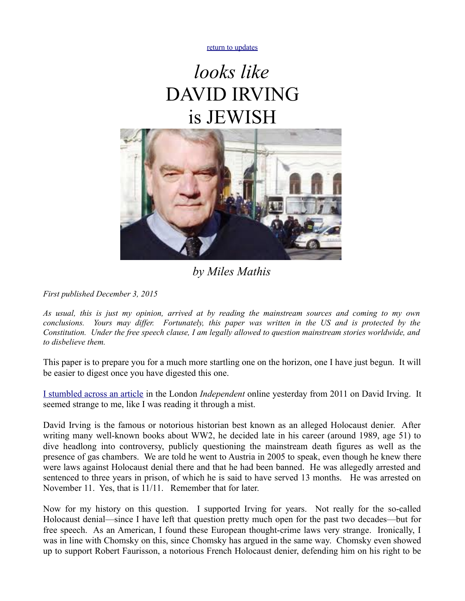[return to updates](http://mileswmathis.com/updates.html)

# *looks like* DAVID IRVING is JEWISH



## *by Miles Mathis*

*First published December 3, 2015*

*As usual, this is just my opinion, arrived at by reading the mainstream sources and coming to my own conclusions. Yours may differ. Fortunately, this paper was written in the US and is protected by the Constitution. Under the free speech clause, I am legally allowed to question mainstream stories worldwide, and to disbelieve them.* 

This paper is to prepare you for a much more startling one on the horizon, one I have just begun. It will be easier to digest once you have digested this one.

[I stumbled across an article](http://www.independent.co.uk/news/people/profiles/david-irving-hitler-appointed-me-his-biographer-1366464.html) in the London *Independent* online yesterday from 2011 on David Irving. It seemed strange to me, like I was reading it through a mist.

David Irving is the famous or notorious historian best known as an alleged Holocaust denier. After writing many well-known books about WW2, he decided late in his career (around 1989, age 51) to dive headlong into controversy, publicly questioning the mainstream death figures as well as the presence of gas chambers. We are told he went to Austria in 2005 to speak, even though he knew there were laws against Holocaust denial there and that he had been banned. He was allegedly arrested and sentenced to three years in prison, of which he is said to have served 13 months. He was arrested on November 11. Yes, that is 11/11. Remember that for later.

Now for my history on this question. I supported Irving for years. Not really for the so-called Holocaust denial—since I have left that question pretty much open for the past two decades—but for free speech. As an American, I found these European thought-crime laws very strange. Ironically, I was in line with Chomsky on this, since Chomsky has argued in the same way. Chomsky even showed up to support Robert Faurisson, a notorious French Holocaust denier, defending him on his right to be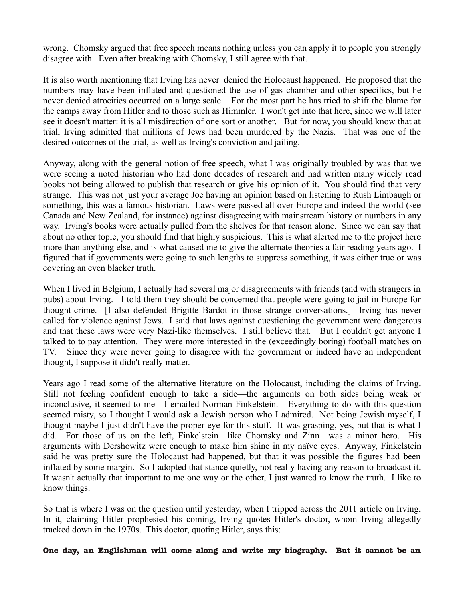wrong. Chomsky argued that free speech means nothing unless you can apply it to people you strongly disagree with. Even after breaking with Chomsky, I still agree with that.

It is also worth mentioning that Irving has never denied the Holocaust happened. He proposed that the numbers may have been inflated and questioned the use of gas chamber and other specifics, but he never denied atrocities occurred on a large scale. For the most part he has tried to shift the blame for the camps away from Hitler and to those such as Himmler. I won't get into that here, since we will later see it doesn't matter: it is all misdirection of one sort or another. But for now, you should know that at trial, Irving admitted that millions of Jews had been murdered by the Nazis. That was one of the desired outcomes of the trial, as well as Irving's conviction and jailing.

Anyway, along with the general notion of free speech, what I was originally troubled by was that we were seeing a noted historian who had done decades of research and had written many widely read books not being allowed to publish that research or give his opinion of it. You should find that very strange. This was not just your average Joe having an opinion based on listening to Rush Limbaugh or something, this was a famous historian. Laws were passed all over Europe and indeed the world (see Canada and New Zealand, for instance) against disagreeing with mainstream history or numbers in any way. Irving's books were actually pulled from the shelves for that reason alone. Since we can say that about no other topic, you should find that highly suspicious. This is what alerted me to the project here more than anything else, and is what caused me to give the alternate theories a fair reading years ago. I figured that if governments were going to such lengths to suppress something, it was either true or was covering an even blacker truth.

When I lived in Belgium, I actually had several major disagreements with friends (and with strangers in pubs) about Irving. I told them they should be concerned that people were going to jail in Europe for thought-crime. [I also defended Brigitte Bardot in those strange conversations.] Irving has never called for violence against Jews. I said that laws against questioning the government were dangerous and that these laws were very Nazi-like themselves. I still believe that. But I couldn't get anyone I talked to to pay attention. They were more interested in the (exceedingly boring) football matches on TV. Since they were never going to disagree with the government or indeed have an independent thought, I suppose it didn't really matter.

Years ago I read some of the alternative literature on the Holocaust, including the claims of Irving. Still not feeling confident enough to take a side—the arguments on both sides being weak or inconclusive, it seemed to me—I emailed Norman Finkelstein. Everything to do with this question seemed misty, so I thought I would ask a Jewish person who I admired. Not being Jewish myself, I thought maybe I just didn't have the proper eye for this stuff. It was grasping, yes, but that is what I did. For those of us on the left, Finkelstein—like Chomsky and Zinn—was a minor hero. His arguments with Dershowitz were enough to make him shine in my naïve eyes. Anyway, Finkelstein said he was pretty sure the Holocaust had happened, but that it was possible the figures had been inflated by some margin. So I adopted that stance quietly, not really having any reason to broadcast it. It wasn't actually that important to me one way or the other, I just wanted to know the truth. I like to know things.

So that is where I was on the question until yesterday, when I tripped across the 2011 article on Irving. In it, claiming Hitler prophesied his coming, Irving quotes Hitler's doctor, whom Irving allegedly tracked down in the 1970s. This doctor, quoting Hitler, says this:

**One day, an Englishman will come along and write my biography. But it cannot be an**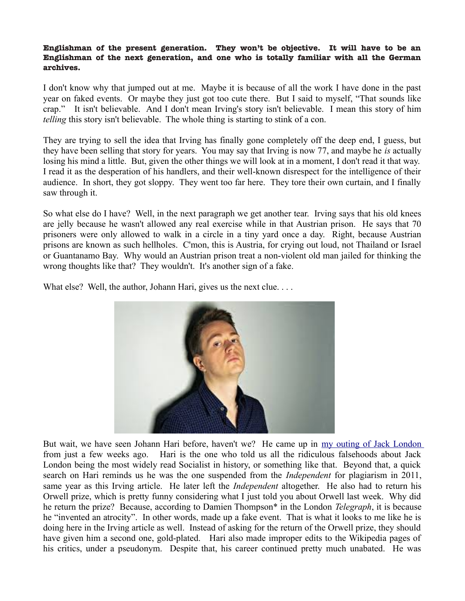#### **Englishman of the present generation. They won't be objective. It will have to be an Englishman of the next generation, and one who is totally familiar with all the German archives.**

I don't know why that jumped out at me. Maybe it is because of all the work I have done in the past year on faked events. Or maybe they just got too cute there. But I said to myself, "That sounds like crap." It isn't believable. And I don't mean Irving's story isn't believable. I mean this story of him *telling* this story isn't believable. The whole thing is starting to stink of a con.

They are trying to sell the idea that Irving has finally gone completely off the deep end, I guess, but they have been selling that story for years. You may say that Irving is now 77, and maybe he *is* actually losing his mind a little. But, given the other things we will look at in a moment, I don't read it that way. I read it as the desperation of his handlers, and their well-known disrespect for the intelligence of their audience. In short, they got sloppy. They went too far here. They tore their own curtain, and I finally saw through it.

So what else do I have? Well, in the next paragraph we get another tear. Irving says that his old knees are jelly because he wasn't allowed any real exercise while in that Austrian prison. He says that 70 prisoners were only allowed to walk in a circle in a tiny yard once a day. Right, because Austrian prisons are known as such hellholes. C'mon, this is Austria, for crying out loud, not Thailand or Israel or Guantanamo Bay. Why would an Austrian prison treat a non-violent old man jailed for thinking the wrong thoughts like that? They wouldn't. It's another sign of a fake.

What else? Well, the author, Johann Hari, gives us the next clue. . . .



But wait, we have seen Johann Hari before, haven't we? He came up in [my outing of Jack London](http://mileswmathis.com/london.pdf) from just a few weeks ago. Hari is the one who told us all the ridiculous falsehoods about Jack London being the most widely read Socialist in history, or something like that. Beyond that, a quick search on Hari reminds us he was the one suspended from the *Independent* for plagiarism in 2011, same year as this Irving article. He later left the *Independent* altogether. He also had to return his Orwell prize, which is pretty funny considering what I just told you about Orwell last week. Why did he return the prize? Because, according to Damien Thompson\* in the London *Telegraph*, it is because he "invented an atrocity". In other words, made up a fake event. That is what it looks to me like he is doing here in the Irving article as well. Instead of asking for the return of the Orwell prize, they should have given him a second one, gold-plated. Hari also made improper edits to the Wikipedia pages of his critics, under a pseudonym. Despite that, his career continued pretty much unabated. He was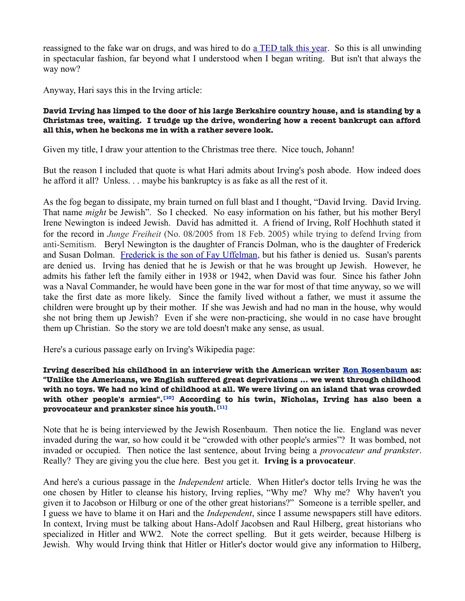reassigned to the fake war on drugs, and was hired to do [a TED talk this year.](https://www.ted.com/speakers/johann_hari) So this is all unwinding in spectacular fashion, far beyond what I understood when I began writing. But isn't that always the way now?

Anyway, Hari says this in the Irving article:

#### **David Irving has limped to the door of his large Berkshire country house, and is standing by a Christmas tree, waiting. I trudge up the drive, wondering how a recent bankrupt can afford all this, when he beckons me in with a rather severe look.**

Given my title, I draw your attention to the Christmas tree there. Nice touch, Johann!

But the reason I included that quote is what Hari admits about Irving's posh abode. How indeed does he afford it all? Unless. . . maybe his bankruptcy is as fake as all the rest of it.

As the fog began to dissipate, my brain turned on full blast and I thought, "David Irving. David Irving. That name *might* be Jewish". So I checked. No easy information on his father, but his mother Beryl Irene Newington is indeed Jewish. David has admitted it. A friend of Irving, Rolf Hochhuth stated it for the record in *Junge Freiheit* (No. 08/2005 from 18 Feb. 2005) while trying to defend Irving from anti-Semitism. Beryl Newington is the daughter of Francis Dolman, who is the daughter of Frederick and Susan Dolman. [Frederick is the son of Fay Uffelman,](http://www.geni.com/people/Frederick-Dolman/6000000008287369597) but his father is denied us. Susan's parents are denied us. Irving has denied that he is Jewish or that he was brought up Jewish. However, he admits his father left the family either in 1938 or 1942, when David was four. Since his father John was a Naval Commander, he would have been gone in the war for most of that time anyway, so we will take the first date as more likely. Since the family lived without a father, we must it assume the children were brought up by their mother. If she was Jewish and had no man in the house, why would she not bring them up Jewish? Even if she were non-practicing, she would in no case have brought them up Christian. So the story we are told doesn't make any sense, as usual.

Here's a curious passage early on Irving's Wikipedia page:

#### **Irving described his childhood in an interview with the American writer [Ron Rosenbaum](https://en.wikipedia.org/wiki/Ron_Rosenbaum) as: "Unlike the Americans, we English suffered great deprivations ... we went through childhood with no toys. We had no kind of childhood at all. We were living on an island that was crowded with other people's armies".[10] According to his twin, Nicholas, Irving has also been a provocateur and prankster since his youth.[11]**

Note that he is being interviewed by the Jewish Rosenbaum. Then notice the lie. England was never invaded during the war, so how could it be "crowded with other people's armies"? It was bombed, not invaded or occupied. Then notice the last sentence, about Irving being a *provocateur and prankster*. Really? They are giving you the clue here. Best you get it. **Irving is a provocateur**.

And here's a curious passage in the *Independent* article. When Hitler's doctor tells Irving he was the one chosen by Hitler to cleanse his history, Irving replies, "Why me? Why me? Why haven't you given it to Jacobson or Hilburg or one of the other great historians?" Someone is a terrible speller, and I guess we have to blame it on Hari and the *Independent*, since I assume newspapers still have editors. In context, Irving must be talking about Hans-Adolf Jacobsen and Raul Hilberg, great historians who specialized in Hitler and WW2. Note the correct spelling. But it gets weirder, because Hilberg is Jewish. Why would Irving think that Hitler or Hitler's doctor would give any information to Hilberg,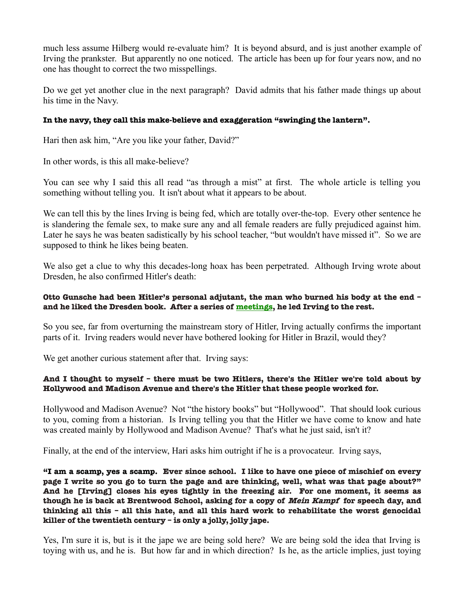much less assume Hilberg would re-evaluate him? It is beyond absurd, and is just another example of Irving the prankster. But apparently no one noticed. The article has been up for four years now, and no one has thought to correct the two misspellings.

Do we get yet another clue in the next paragraph? David admits that his father made things up about his time in the Navy.

### **In the navy, they call this make-believe and exaggeration "swinging the lantern".**

Hari then ask him, "Are you like your father, David?"

In other words, is this all make-believe?

You can see why I said this all read "as through a mist" at first. The whole article is telling you something without telling you. It isn't about what it appears to be about.

We can tell this by the lines Irving is being fed, which are totally over-the-top. Every other sentence he is slandering the female sex, to make sure any and all female readers are fully prejudiced against him. Later he says he was beaten sadistically by his school teacher, "but wouldn't have missed it". So we are supposed to think he likes being beaten.

We also get a clue to why this decades-long hoax has been perpetrated. Although Irving wrote about Dresden, he also confirmed Hitler's death:

#### **Otto Gunsche had been Hitler's personal adjutant, the man who burned his body at the end – and he liked the Dresden book. After a series of meetings, he led Irving to the rest.**

So you see, far from overturning the mainstream story of Hitler, Irving actually confirms the important parts of it. Irving readers would never have bothered looking for Hitler in Brazil, would they?

We get another curious statement after that. Irving says:

#### **And I thought to myself – there must be two Hitlers, there's the Hitler we're told about by Hollywood and Madison Avenue and there's the Hitler that these people worked for.**

Hollywood and Madison Avenue? Not "the history books" but "Hollywood". That should look curious to you, coming from a historian. Is Irving telling you that the Hitler we have come to know and hate was created mainly by Hollywood and Madison Avenue? That's what he just said, isn't it?

Finally, at the end of the interview, Hari asks him outright if he is a provocateur. Irving says,

**"I am a scamp, yes a scamp. Ever since school. I like to have one piece of mischief on every page I write so you go to turn the page and are thinking, well, what was that page about?" And he [Irving] closes his eyes tightly in the freezing air. For one moment, it seems as though he is back at Brentwood School, asking for a copy of Mein Kampf for speech day, and thinking all this – all this hate, and all this hard work to rehabilitate the worst genocidal killer of the twentieth century – is only a jolly, jolly jape.**

Yes, I'm sure it is, but is it the jape we are being sold here? We are being sold the idea that Irving is toying with us, and he is. But how far and in which direction? Is he, as the article implies, just toying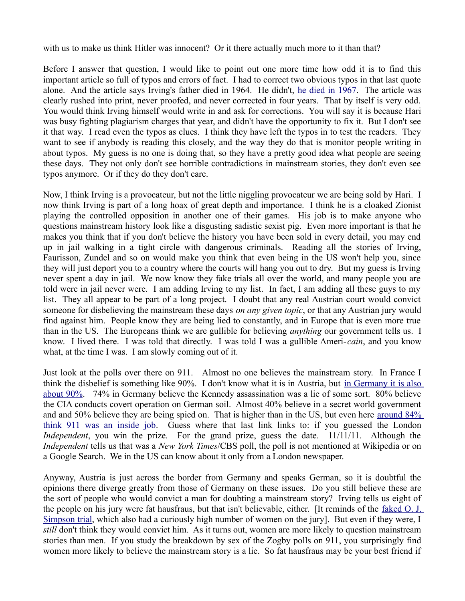with us to make us think Hitler was innocent? Or it there actually much more to it than that?

Before I answer that question, I would like to point out one more time how odd it is to find this important article so full of typos and errors of fact. I had to correct two obvious typos in that last quote alone. And the article says Irving's father died in 1964. He didn't, [he died in 1967.](http://www.geni.com/people/John-Irving/6000000008279989222) The article was clearly rushed into print, never proofed, and never corrected in four years. That by itself is very odd. You would think Irving himself would write in and ask for corrections. You will say it is because Hari was busy fighting plagiarism charges that year, and didn't have the opportunity to fix it. But I don't see it that way. I read even the typos as clues. I think they have left the typos in to test the readers. They want to see if anybody is reading this closely, and the way they do that is monitor people writing in about typos. My guess is no one is doing that, so they have a pretty good idea what people are seeing these days. They not only don't see horrible contradictions in mainstream stories, they don't even see typos anymore. Or if they do they don't care.

Now, I think Irving is a provocateur, but not the little niggling provocateur we are being sold by Hari. I now think Irving is part of a long hoax of great depth and importance. I think he is a cloaked Zionist playing the controlled opposition in another one of their games. His job is to make anyone who questions mainstream history look like a disgusting sadistic sexist pig. Even more important is that he makes you think that if you don't believe the history you have been sold in every detail, you may end up in jail walking in a tight circle with dangerous criminals. Reading all the stories of Irving, Faurisson, Zundel and so on would make you think that even being in the US won't help you, since they will just deport you to a country where the courts will hang you out to dry. But my guess is Irving never spent a day in jail. We now know they fake trials all over the world, and many people you are told were in jail never were. I am adding Irving to my list. In fact, I am adding all these guys to my list. They all appear to be part of a long project. I doubt that any real Austrian court would convict someone for disbelieving the mainstream these days *on any given topic*, or that any Austrian jury would find against him. People know they are being lied to constantly, and in Europe that is even more true than in the US. The Europeans think we are gullible for believing *anything* our government tells us. I know. I lived there. I was told that directly. I was told I was a gullible Ameri-*cain*, and you know what, at the time I was. I am slowly coming out of it.

Just look at the polls over there on 911. Almost no one believes the mainstream story. In France I think the disbelief is something like 90%. I don't know what it is in Austria, but [in Germany it is also](http://911blogger.com/news/2011-01-21/poll-germany-895-doubt-official-version-911) [about 90%.](http://911blogger.com/news/2011-01-21/poll-germany-895-doubt-official-version-911) 74% in Germany believe the Kennedy assassination was a lie of some sort. 80% believe the CIA conducts covert operation on German soil. Almost 40% believe in a secret world government and and 50% believe they are being spied on. That is higher than in the US, but even here [around 84%](http://www.independent.co.uk/life-style/gadgets-and-tech/features/truth-and-lies-conspiracy-theories-are-running-rampant-thanks-to-modern-technology-6260128.html) [think 911 was an inside job.](http://www.independent.co.uk/life-style/gadgets-and-tech/features/truth-and-lies-conspiracy-theories-are-running-rampant-thanks-to-modern-technology-6260128.html) Guess where that last link links to: if you guessed the London *Independent*, you win the prize. For the grand prize, guess the date. 11/11/11. Although the *Independent* tells us that was a *New York Times*/CBS poll, the poll is not mentioned at Wikipedia or on a Google Search. We in the US can know about it only from a London newspaper.

Anyway, Austria is just across the border from Germany and speaks German, so it is doubtful the opinions there diverge greatly from those of Germany on these issues. Do you still believe these are the sort of people who would convict a man for doubting a mainstream story? Irving tells us eight of the people on his jury were fat hausfraus, but that isn't believable, either. [It reminds of the [faked O. J.](http://mileswmathis.com/oj.pdf) [Simpson trial,](http://mileswmathis.com/oj.pdf) which also had a curiously high number of women on the jury]. But even if they were, I *still* don't think they would convict him. As it turns out, women are more likely to question mainstream stories than men. If you study the breakdown by sex of the Zogby polls on 911, you surprisingly find women more likely to believe the mainstream story is a lie. So fat hausfraus may be your best friend if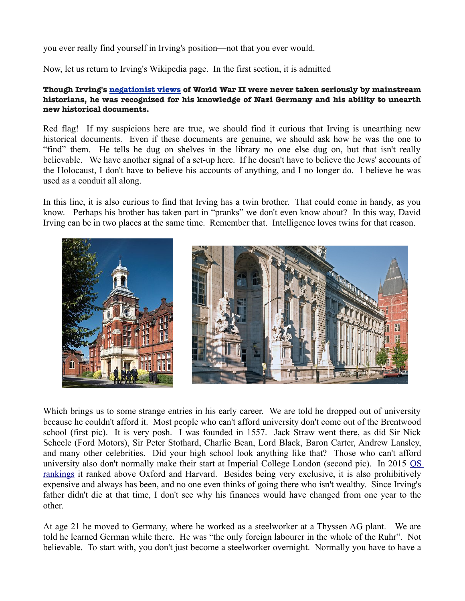you ever really find yourself in Irving's position—not that you ever would.

Now, let us return to Irving's Wikipedia page. In the first section, it is admitted

#### **Though Irving's [negationist views](https://en.wikipedia.org/wiki/Historical_revisionism_(negationism)) of World War II were never taken seriously by mainstream historians, he was recognized for his knowledge of Nazi Germany and his ability to unearth new historical documents.**

Red flag! If my suspicions here are true, we should find it curious that Irving is unearthing new historical documents. Even if these documents are genuine, we should ask how he was the one to "find" them. He tells he dug on shelves in the library no one else dug on, but that isn't really believable. We have another signal of a set-up here. If he doesn't have to believe the Jews' accounts of the Holocaust, I don't have to believe his accounts of anything, and I no longer do. I believe he was used as a conduit all along.

In this line, it is also curious to find that Irving has a twin brother. That could come in handy, as you know. Perhaps his brother has taken part in "pranks" we don't even know about? In this way, David Irving can be in two places at the same time. Remember that. Intelligence loves twins for that reason.



Which brings us to some strange entries in his early career. We are told he dropped out of university because he couldn't afford it. Most people who can't afford university don't come out of the Brentwood school (first pic). It is very posh. I was founded in 1557. Jack Straw went there, as did Sir Nick Scheele (Ford Motors), Sir Peter Stothard, Charlie Bean, Lord Black, Baron Carter, Andrew Lansley, and many other celebrities. Did your high school look anything like that? Those who can't afford university also don't normally make their start at Imperial College London (second pic). In 2015 [QS](http://www.topuniversities.com/university-rankings/world-university-rankings/2014#sorting=rank+region=+country=+faculty=+stars=false+search=) [rankings](http://www.topuniversities.com/university-rankings/world-university-rankings/2014#sorting=rank+region=+country=+faculty=+stars=false+search=) it ranked above Oxford and Harvard. Besides being very exclusive, it is also prohibitively expensive and always has been, and no one even thinks of going there who isn't wealthy. Since Irving's father didn't die at that time, I don't see why his finances would have changed from one year to the other.

At age 21 he moved to Germany, where he worked as a steelworker at a Thyssen AG plant. We are told he learned German while there. He was "the only foreign labourer in the whole of the Ruhr". Not believable. To start with, you don't just become a steelworker overnight. Normally you have to have a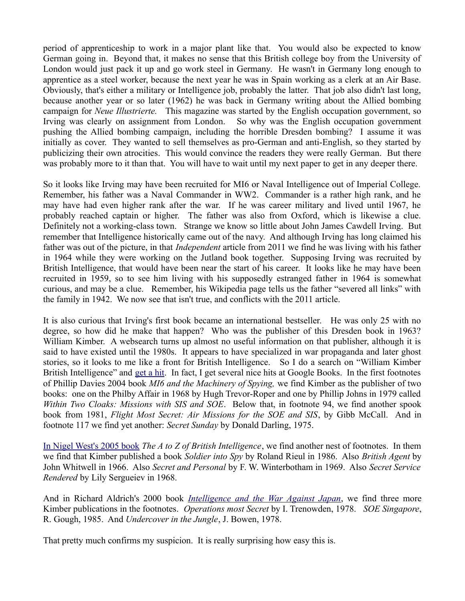period of apprenticeship to work in a major plant like that. You would also be expected to know German going in. Beyond that, it makes no sense that this British college boy from the University of London would just pack it up and go work steel in Germany. He wasn't in Germany long enough to apprentice as a steel worker, because the next year he was in Spain working as a clerk at an Air Base. Obviously, that's either a military or Intelligence job, probably the latter. That job also didn't last long, because another year or so later (1962) he was back in Germany writing about the Allied bombing campaign for *Neue Illustrierte.* This magazine was started by the English occupation government, so Irving was clearly on assignment from London. So why was the English occupation government pushing the Allied bombing campaign, including the horrible Dresden bombing? I assume it was initially as cover. They wanted to sell themselves as pro-German and anti-English, so they started by publicizing their own atrocities. This would convince the readers they were really German. But there was probably more to it than that. You will have to wait until my next paper to get in any deeper there.

So it looks like Irving may have been recruited for MI6 or Naval Intelligence out of Imperial College. Remember, his father was a Naval Commander in WW2. Commander is a rather high rank, and he may have had even higher rank after the war. If he was career military and lived until 1967, he probably reached captain or higher. The father was also from Oxford, which is likewise a clue. Definitely not a working-class town. Strange we know so little about John James Cawdell Irving. But remember that Intelligence historically came out of the navy. And although Irving has long claimed his father was out of the picture, in that *Independent* article from 2011 we find he was living with his father in 1964 while they were working on the Jutland book together. Supposing Irving was recruited by British Intelligence, that would have been near the start of his career. It looks like he may have been recruited in 1959, so to see him living with his supposedly estranged father in 1964 is somewhat curious, and may be a clue. Remember, his Wikipedia page tells us the father "severed all links" with the family in 1942. We now see that isn't true, and conflicts with the 2011 article.

It is also curious that Irving's first book became an international bestseller. He was only 25 with no degree, so how did he make that happen? Who was the publisher of this Dresden book in 1963? William Kimber. A websearch turns up almost no useful information on that publisher, although it is said to have existed until the 1980s. It appears to have specialized in war propaganda and later ghost stories, so it looks to me like a front for British Intelligence. So I do a search on "William Kimber British Intelligence" and [get a hit.](https://books.google.com/books?id=TTW2h5GHlWkC&pg=PA163&lpg=PA163&dq=william+kimber+british+intelligence&source=bl&ots=vyKm8XS7qN&sig=jluC1JYesp8AfA1meueV8hIVH8s&hl=en&sa=X&ved=0ahUKEwixm9bx08HJAhVwpIMKHU46AWQQ6AEIHDAA#v=onepage&q=william%20kimber%20british%20intelligence&f=false) In fact, I get several nice hits at Google Books. In the first footnotes of Phillip Davies 2004 book *MI6 and the Machinery of Spying,* we find Kimber as the publisher of two books: one on the Philby Affair in 1968 by Hugh Trevor-Roper and one by Phillip Johns in 1979 called *Within Two Cloaks: Missions with SIS and SOE*. Below that, in footnote 94, we find another spook book from 1981, *Flight Most Secret: Air Missions for the SOE and SIS*, by Gibb McCall. And in footnote 117 we find yet another: *Secret Sunday* by Donald Darling, 1975.

[In Nigel West's 2005 book](https://books.google.com/books?id=zYAXAAAAQBAJ&pg=PA622&lpg=PA622&dq=william+kimber+british+intelligence&source=bl&ots=Y4W6SRhFRK&sig=p_Fwlaa-vUDAPMAN0rZtxEfNo30&hl=en&sa=X&ved=0ahUKEwixm9bx08HJAhVwpIMKHU46AWQQ6AEIHzAB#v=onepage&q=william%20kimber%20british%20intelligence&f=false) *The A to Z of British Intelligence*, we find another nest of footnotes. In them we find that Kimber published a book *Soldier into Spy* by Roland Rieul in 1986. Also *British Agent* by John Whitwell in 1966. Also *Secret and Personal* by F. W. Winterbotham in 1969. Also *Secret Service Rendered* by Lily Sergueiev in 1968.

And in Richard Aldrich's 2000 book *[Intelligence and the War Against Japan](https://books.google.com/books?id=D86lnjjU7PIC&pg=PA475&lpg=PA475&dq=william+kimber+british+intelligence&source=bl&ots=IxFOlXzq-L&sig=rYV6huV5pN9bhSVCdj0DFzJrSkk&hl=en&sa=X&ved=0ahUKEwixm9bx08HJAhVwpIMKHU46AWQQ6AEIJjAD#v=onepage&q=william%20kimber%20british%20intelligence&f=false)*, we find three more Kimber publications in the footnotes. *Operations most Secret* by I. Trenowden, 1978. *SOE Singapore*, R. Gough, 1985. And *Undercover in the Jungle*, J. Bowen, 1978.

That pretty much confirms my suspicion. It is really surprising how easy this is.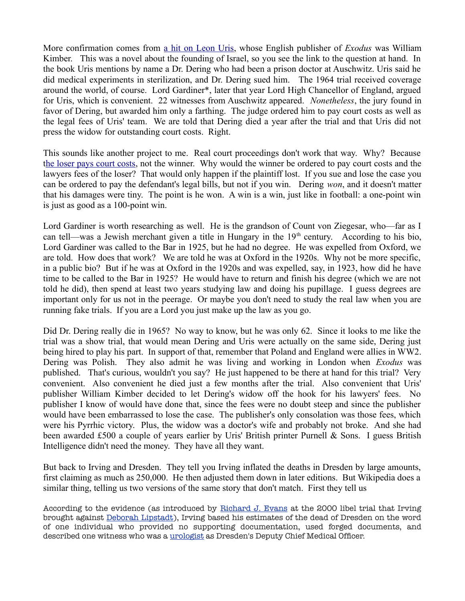More confirmation comes from [a hit on Leon Uris,](https://books.google.com/books?id=obgXk9DjlVsC&pg=PT160&lpg=PT160&dq=william+kimber+publisher&source=bl&ots=v8JgrK9RbH&sig=Q6Fbjm4UJYg2QQYz9vIO3GTlcB8&hl=en&sa=X&ved=0ahUKEwimp9i808HJAhXRjIMKHQMUASE4ChDoAQhCMAw#v=onepage&q=william%20kimber%20publisher&f=false) whose English publisher of *Exodus* was William Kimber. This was a novel about the founding of Israel, so you see the link to the question at hand. In the book Uris mentions by name a Dr. Dering who had been a prison doctor at Auschwitz. Uris said he did medical experiments in sterilization, and Dr. Dering sued him. The 1964 trial received coverage around the world, of course. Lord Gardiner\*, later that year Lord High Chancellor of England, argued for Uris, which is convenient. 22 witnesses from Auschwitz appeared. *Nonetheless*, the jury found in favor of Dering, but awarded him only a farthing. The judge ordered him to pay court costs as well as the legal fees of Uris' team. We are told that Dering died a year after the trial and that Uris did not press the widow for outstanding court costs. Right.

This sounds like another project to me. Real court proceedings don't work that way. Why? Because [the loser pays court costs,](https://en.wikipedia.org/wiki/English_rule_(attorney) not the winner. Why would the winner be ordered to pay court costs and the lawyers fees of the loser? That would only happen if the plaintiff lost. If you sue and lose the case you can be ordered to pay the defendant's legal bills, but not if you win. Dering *won*, and it doesn't matter that his damages were tiny. The point is he won. A win is a win, just like in football: a one-point win is just as good as a 100-point win.

Lord Gardiner is worth researching as well. He is the grandson of Count von Ziegesar, who—far as I can tell—was a Jewish merchant given a title in Hungary in the  $19<sup>th</sup>$  century. According to his bio, Lord Gardiner was called to the Bar in 1925, but he had no degree. He was expelled from Oxford, we are told. How does that work? We are told he was at Oxford in the 1920s. Why not be more specific, in a public bio? But if he was at Oxford in the 1920s and was expelled, say, in 1923, how did he have time to be called to the Bar in 1925? He would have to return and finish his degree (which we are not told he did), then spend at least two years studying law and doing his pupillage. I guess degrees are important only for us not in the peerage. Or maybe you don't need to study the real law when you are running fake trials. If you are a Lord you just make up the law as you go.

Did Dr. Dering really die in 1965? No way to know, but he was only 62. Since it looks to me like the trial was a show trial, that would mean Dering and Uris were actually on the same side, Dering just being hired to play his part. In support of that, remember that Poland and England were allies in WW2. Dering was Polish. They also admit he was living and working in London when *Exodus* was published. That's curious, wouldn't you say? He just happened to be there at hand for this trial? Very convenient. Also convenient he died just a few months after the trial. Also convenient that Uris' publisher William Kimber decided to let Dering's widow off the hook for his lawyers' fees. No publisher I know of would have done that, since the fees were no doubt steep and since the publisher would have been embarrassed to lose the case. The publisher's only consolation was those fees, which were his Pyrrhic victory. Plus, the widow was a doctor's wife and probably not broke. And she had been awarded £500 a couple of years earlier by Uris' British printer Purnell & Sons. I guess British Intelligence didn't need the money. They have all they want.

But back to Irving and Dresden. They tell you Irving inflated the deaths in Dresden by large amounts, first claiming as much as 250,000. He then adjusted them down in later editions. But Wikipedia does a similar thing, telling us two versions of the same story that don't match. First they tell us

According to the evidence (as introduced by [Richard J. Evans](https://en.wikipedia.org/wiki/Richard_J._Evans) at the 2000 libel trial that Irving brought against [Deborah Lipstadt\)](https://en.wikipedia.org/wiki/Deborah_Lipstadt), Irving based his estimates of the dead of Dresden on the word of one individual who provided no supporting documentation, used forged documents, and described one witness who was a [urologist](https://en.wikipedia.org/wiki/Urologist) as Dresden's Deputy Chief Medical Officer.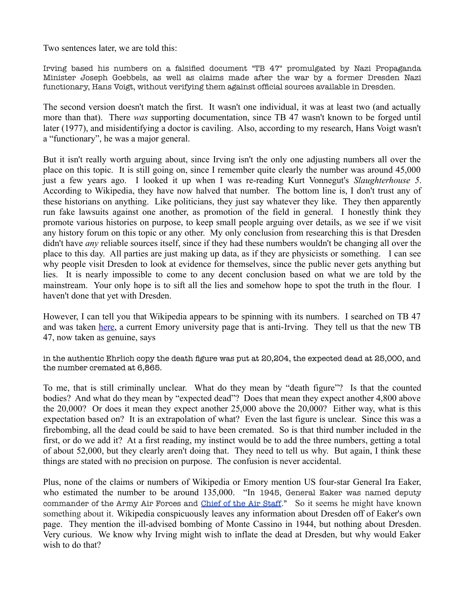Two sentences later, we are told this:

Irving based his numbers on a falsified document "TB 47" promulgated by Nazi Propaganda Minister Joseph Goebbels, as well as claims made after the war by a former Dresden Nazi functionary, Hans Voigt, without verifying them against official sources available in Dresden.

The second version doesn't match the first. It wasn't one individual, it was at least two (and actually more than that). There *was* supporting documentation, since TB 47 wasn't known to be forged until later (1977), and misidentifying a doctor is caviling. Also, according to my research, Hans Voigt wasn't a "functionary", he was a major general.

But it isn't really worth arguing about, since Irving isn't the only one adjusting numbers all over the place on this topic. It is still going on, since I remember quite clearly the number was around 45,000 just a few years ago. I looked it up when I was re-reading Kurt Vonnegut's *Slaughterhouse 5*. According to Wikipedia, they have now halved that number. The bottom line is, I don't trust any of these historians on anything. Like politicians, they just say whatever they like. They then apparently run fake lawsuits against one another, as promotion of the field in general. I honestly think they promote various histories on purpose, to keep small people arguing over details, as we see if we visit any history forum on this topic or any other. My only conclusion from researching this is that Dresden didn't have *any* reliable sources itself, since if they had these numbers wouldn't be changing all over the place to this day. All parties are just making up data, as if they are physicists or something. I can see why people visit Dresden to look at evidence for themselves, since the public never gets anything but lies. It is nearly impossible to come to any decent conclusion based on what we are told by the mainstream. Your only hope is to sift all the lies and somehow hope to spot the truth in the flour. I haven't done that yet with Dresden.

However, I can tell you that Wikipedia appears to be spinning with its numbers. I searched on TB 47 and was taken [here,](http://www.hdot.org/en/trial/defense/evans/520dv.html) a current Emory university page that is anti-Irving. They tell us that the new TB 47, now taken as genuine, says

in the authentic Ehrlich copy the death figure was put at 20,204, the expected dead at 25,000, and the number cremated at 6,865.

To me, that is still criminally unclear. What do they mean by "death figure"? Is that the counted bodies? And what do they mean by "expected dead"? Does that mean they expect another 4,800 above the 20,000? Or does it mean they expect another 25,000 above the 20,000? Either way, what is this expectation based on? It is an extrapolation of what? Even the last figure is unclear. Since this was a firebombing, all the dead could be said to have been cremated. So is that third number included in the first, or do we add it? At a first reading, my instinct would be to add the three numbers, getting a total of about 52,000, but they clearly aren't doing that. They need to tell us why. But again, I think these things are stated with no precision on purpose. The confusion is never accidental.

Plus, none of the claims or numbers of Wikipedia or Emory mention US four-star General Ira Eaker, who estimated the number to be around 135,000. "In 1945, General Eaker was named deputy commander of the Army Air Forces and [Chief of the Air Staff.](https://en.wikipedia.org/wiki/Chief_of_Staff_of_the_United_States_Air_Force)" So it seems he might have known something about it. Wikipedia conspicuously leaves any information about Dresden off of Eaker's own page. They mention the ill-advised bombing of Monte Cassino in 1944, but nothing about Dresden. Very curious. We know why Irving might wish to inflate the dead at Dresden, but why would Eaker wish to do that?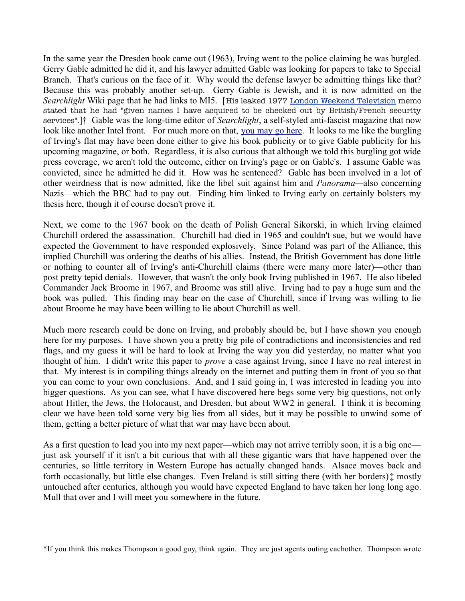In the same year the Dresden book came out (1963), Irving went to the police claiming he was burgled. Gerry Gable admitted he did it, and his lawyer admitted Gable was looking for papers to take to Special Branch. That's curious on the face of it. Why would the defense lawyer be admitting things like that? Because this was probably another set-up. Gerry Gable is Jewish, and it is now admitted on the *Searchlight* Wiki page that he had links to MI5. [His leaked 1977 [London Weekend Television](https://en.wikipedia.org/wiki/London_Weekend_Television) memo stated that he had "given names I have acquired to be checked out by British/French security services".]† Gable was the long-time editor of *Searchlight*, a self-styled anti-fascist magazine that now look like another Intel front. For much more on that, [you may go here.](https://libcom.org/book/export/html/173) It looks to me like the burgling of Irving's flat may have been done either to give his book publicity or to give Gable publicity for his upcoming magazine, or both. Regardless, it is also curious that although we told this burgling got wide press coverage, we aren't told the outcome, either on Irving's page or on Gable's. I assume Gable was convicted, since he admitted he did it. How was he sentenced? Gable has been involved in a lot of other weirdness that is now admitted, like the libel suit against him and *Panorama—*also concerning Nazis—which the BBC had to pay out. Finding him linked to Irving early on certainly bolsters my thesis here, though it of course doesn't prove it.

Next, we come to the 1967 book on the death of Polish General Sikorski, in which Irving claimed Churchill ordered the assassination. Churchill had died in 1965 and couldn't sue, but we would have expected the Government to have responded explosively. Since Poland was part of the Alliance, this implied Churchill was ordering the deaths of his allies. Instead, the British Government has done little or nothing to counter all of Irving's anti-Churchill claims (there were many more later)—other than post pretty tepid denials. However, that wasn't the only book Irving published in 1967. He also libeled Commander Jack Broome in 1967, and Broome was still alive. Irving had to pay a huge sum and the book was pulled. This finding may bear on the case of Churchill, since if Irving was willing to lie about Broome he may have been willing to lie about Churchill as well.

Much more research could be done on Irving, and probably should be, but I have shown you enough here for my purposes. I have shown you a pretty big pile of contradictions and inconsistencies and red flags, and my guess it will be hard to look at Irving the way you did yesterday, no matter what you thought of him. I didn't write this paper to *prove* a case against Irving, since I have no real interest in that. My interest is in compiling things already on the internet and putting them in front of you so that you can come to your own conclusions. And, and I said going in, I was interested in leading you into bigger questions. As you can see, what I have discovered here begs some very big questions, not only about Hitler, the Jews, the Holocaust, and Dresden, but about WW2 in general. I think it is becoming clear we have been told some very big lies from all sides, but it may be possible to unwind some of them, getting a better picture of what that war may have been about.

As a first question to lead you into my next paper—which may not arrive terribly soon, it is a big one just ask yourself if it isn't a bit curious that with all these gigantic wars that have happened over the centuries, so little territory in Western Europe has actually changed hands. Alsace moves back and forth occasionally, but little else changes. Even Ireland is still sitting there (with her borders) $\ddot{x}$  mostly untouched after centuries, although you would have expected England to have taken her long long ago. Mull that over and I will meet you somewhere in the future.

\*If you think this makes Thompson a good guy, think again. They are just agents outing eachother. Thompson wrote